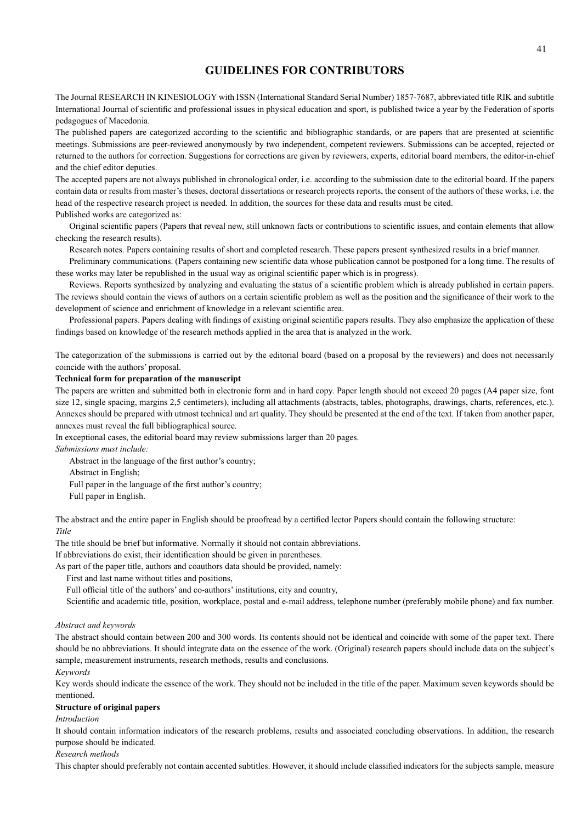# **GUIDELINES FOR CONTRIBUTORS**

The Journal RESEARCH IN KINESIOLOGY with ISSN (International Standard Serial Number) 1857-7687, abbreviated title RIK and subtitle International Journal of scientific and professional issues in physical education and sport, is published twice a year by the Federation of sports pedagogues of Macedonia.

The published papers are categorized according to the scientific and bibliographic standards, or are papers that are presented at scientific meetings. Submissions are peer-reviewed anonymously by two independent, competent reviewers. Submissions can be accepted, rejected or returned to the authors for correction. Suggestions for corrections are given by reviewers, experts, editorial board members, the editor-in-chief and the chief editor deputies.

The accepted papers are not always published in chronological order, i.e. according to the submission date to the editorial board. If the papers contain data or results from master's theses, doctoral dissertations or research projects reports, the consent of the authors of these works, i.e. the head of the respective research project is needed. In addition, the sources for these data and results must be cited. Published works are categorized as:

Original scientific papers (Papers that reveal new, still unknown facts or contributions to scientific issues, and contain elements that allow checking the research results).

Research notes. Papers containing results of short and completed research. These papers present synthesized results in a brief manner.

Preliminary communications. (Papers containing new scientific data whose publication cannot be postponed for a long time. The results of these works may later be republished in the usual way as original scientific paper which is in progress).

Reviews. Reports synthesized by analyzing and evaluating the status of a scientific problem which is already published in certain papers. The reviews should contain the views of authors on a certain scientific problem as well as the position and the significance of their work to the development of science and enrichment of knowledge in a relevant scientific area.

Professional papers. Papers dealing with findings of existing original scientific papers results. They also emphasize the application of these findings based on knowledge of the research methods applied in the area that is analyzed in the work.

The categorization of the submissions is carried out by the editorial board (based on a proposal by the reviewers) and does not necessarily coincide with the authors' proposal.

#### **Technical form for preparation of the manuscript**

The papers are written and submitted both in electronic form and in hard copy. Paper length should not exceed 20 pages (A4 paper size, font size 12, single spacing, margins 2,5 centimeters), including all attachments (abstracts, tables, photographs, drawings, charts, references, etc.). Annexes should be prepared with utmost technical and art quality. They should be presented at the end of the text. If taken from another paper, annexes must reveal the full bibliographical source.

In exceptional cases, the editorial board may review submissions larger than 20 pages.

*Submissions must include:*

Abstract in the language of the first author's country;

Abstract in English;

Full paper in the language of the first author's country;

Full paper in English.

The abstract and the entire paper in English should be proofread by a certified lector Papers should contain the following structure: *Title*

The title should be brief but informative. Normally it should not contain abbreviations.

If abbreviations do exist, their identification should be given in parentheses.

As part of the paper title, authors and coauthors data should be provided, namely:

First and last name without titles and positions,

Full official title of the authors' and co-authors' institutions, city and country,

Scientific and academic title, position, workplace, postal and e-mail address, telephone number (preferably mobile phone) and fax number.

#### *Abstract and keywords*

The abstract should contain between 200 and 300 words. Its contents should not be identical and coincide with some of the paper text. There should be no abbreviations. It should integrate data on the essence of the work. (Original) research papers should include data on the subject's sample, measurement instruments, research methods, results and conclusions.

#### *Keywords*

Key words should indicate the essence of the work. They should not be included in the title of the paper. Maximum seven keywords should be mentioned.

#### **Structure of original papers**

*Introduction*

It should contain information indicators of the research problems, results and associated concluding observations. In addition, the research purpose should be indicated.

#### *Research methods*

This chapter should preferably not contain accented subtitles. However, it should include classified indicators for the subjects sample, measure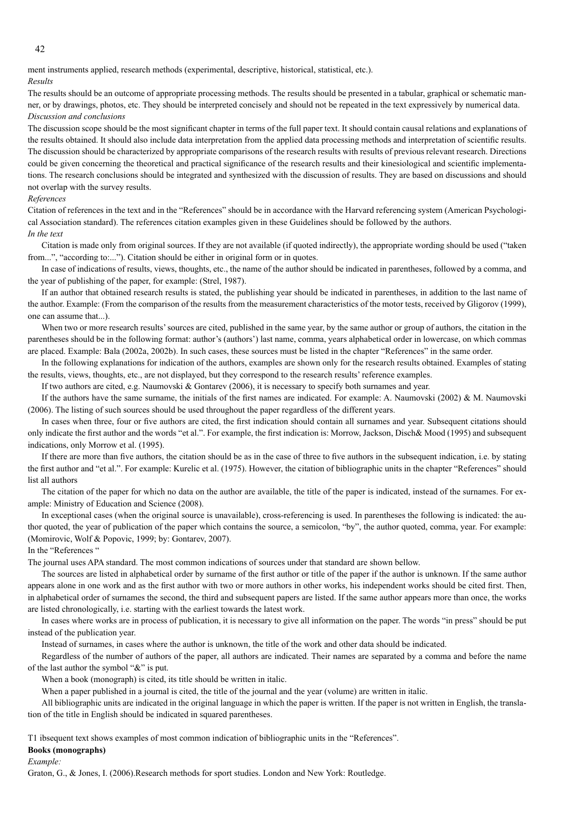ment instruments applied, research methods (experimental, descriptive, historical, statistical, etc.). *Results*

The results should be an outcome of appropriate processing methods. The results should be presented in a tabular, graphical or schematic manner, or by drawings, photos, etc. They should be interpreted concisely and should not be repeated in the text expressively by numerical data. *Discussion and conclusions*

The discussion scope should be the most significant chapter in terms of the full paper text. It should contain causal relations and explanations of the results obtained. It should also include data interpretation from the applied data processing methods and interpretation of scientific results. The discussion should be characterized by appropriate comparisons of the research results with results of previous relevant research. Directions could be given concerning the theoretical and practical significance of the research results and their kinesiological and scientific implementations. The research conclusions should be integrated and synthesized with the discussion of results. They are based on discussions and should not overlap with the survey results.

#### *References*

Citation of references in the text and in the "References" should be in accordance with the Harvard referencing system (American Psychological Association standard). The references citation examples given in these Guidelines should be followed by the authors.

#### *In the text*

Citation is made only from original sources. If they are not available (if quoted indirectly), the appropriate wording should be used ("taken from...", "according to:..."). Citation should be either in original form or in quotes.

In case of indications of results, views, thoughts, etc., the name of the author should be indicated in parentheses, followed by a comma, and the year of publishing of the paper, for example: (Strel, 1987).

If an author that obtained research results is stated, the publishing year should be indicated in parentheses, in addition to the last name of the author. Example: (From the comparison of the results from the measurement characteristics of the motor tests, received by Gligorov (1999), one can assume that...).

When two or more research results' sources are cited, published in the same year, by the same author or group of authors, the citation in the parentheses should be in the following format: author's (authors') last name, comma, years alphabetical order in lowercase, on which commas are placed. Example: Bala (2002a, 2002b). In such cases, these sources must be listed in the chapter "References" in the same order.

In the following explanations for indication of the authors, examples are shown only for the research results obtained. Examples of stating the results, views, thoughts, etc., are not displayed, but they correspond to the research results' reference examples.

If two authors are cited, e.g. Naumovski & Gontarev (2006), it is necessary to specify both surnames and year.

If the authors have the same surname, the initials of the first names are indicated. For example: A. Naumovski  $(2002)$  & M. Naumovski (2006). The listing of such sources should be used throughout the paper regardless of the different years.

In cases when three, four or five authors are cited, the first indication should contain all surnames and year. Subsequent citations should only indicate the first author and the words "et al.". For example, the first indication is: Morrow, Jackson, Disch& Mood (1995) and subsequent indications, only Morrow et al. (1995).

If there are more than five authors, the citation should be as in the case of three to five authors in the subsequent indication, i.e. by stating the first author and "et al.". For example: Kurelic et al. (1975). However, the citation of bibliographic units in the chapter "References" should list all authors

The citation of the paper for which no data on the author are available, the title of the paper is indicated, instead of the surnames. For example: Ministry of Education and Science (2008).

In exceptional cases (when the original source is unavailable), cross-referencing is used. In parentheses the following is indicated: the author quoted, the year of publication of the paper which contains the source, a semicolon, "by", the author quoted, comma, year. For example: (Momirovic, Wolf & Popovic, 1999; by: Gontarev, 2007).

#### In the "References "

The journal uses APA standard. The most common indications of sources under that standard are shown bellow.

The sources are listed in alphabetical order by surname of the first author or title of the paper if the author is unknown. If the same author appears alone in one work and as the first author with two or more authors in other works, his independent works should be cited first. Then, in alphabetical order of surnames the second, the third and subsequent papers are listed. If the same author appears more than once, the works are listed chronologically, i.e. starting with the earliest towards the latest work.

In cases where works are in process of publication, it is necessary to give all information on the paper. The words "in press" should be put instead of the publication year.

Instead of surnames, in cases where the author is unknown, the title of the work and other data should be indicated.

Regardless of the number of authors of the paper, all authors are indicated. Their names are separated by a comma and before the name of the last author the symbol "&" is put.

When a book (monograph) is cited, its title should be written in italic.

When a paper published in a journal is cited, the title of the journal and the year (volume) are written in italic.

All bibliographic units are indicated in the original language in which the paper is written. If the paper is not written in English, the translation of the title in English should be indicated in squared parentheses.

T1 ibsequent text shows examples of most common indication of bibliographic units in the "References".

#### **Books (monographs)**

*Example:*

Graton, G., & Jones, I. (2006).Research methods for sport studies. London and New York: Routledge.

42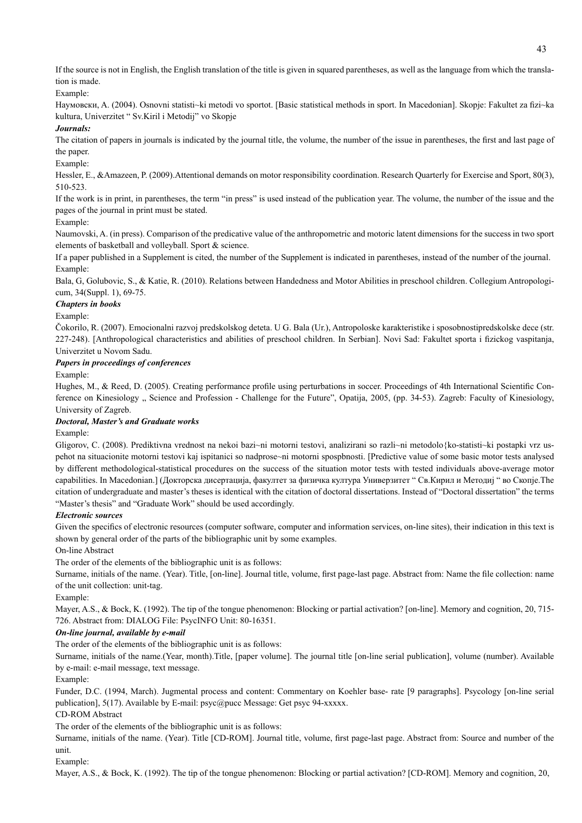If the source is not in English, the English translation of the title is given in squared parentheses, as well as the language from which the translation is made.

Example:

Hayмовски, A. (2004). Osnovni statisti~ki metodi vo sportot. [Basic statistical methods in sport. In Macedonian]. Skopje: Fakultet za fizi~ka kultura, Univerzitet " Sv.Kiril i Metodij" vo Skopje

#### *Journals:*

The citation of papers in journals is indicated by the journal title, the volume, the number of the issue in parentheses, the first and last page of the paper.

#### Example:

Hessler, E., &Amazeen, P. (2009). Attentional demands on motor responsibility coordination. Research Quarterly for Exercise and Sport, 80(3), 510-523.

If the work is in print, in parentheses, the term "in press" is used instead of the publication year. The volume, the number of the issue and the pages of the journal in print must be stated.

#### Example:

Naumovski, A. (in press). Comparison of the predicative value of the anthropometric and motoric latent dimensions for the success in two sport elements of basketball and volleyball. Sport & science.

If a paper published in a Supplement is cited, the number of the Supplement is indicated in parentheses, instead of the number of the journal. Example:

Bala, G, Golubovic, S., & Katie, R. (2010). Relations between Handedness and Motor Abilities in preschool children. Collegium Antropologicum, 34(Suppl. 1), 69-75.

#### *Chapters in books*

# Example:

Čokorilo, R. (2007). Emocionalni razvoj predskolskog deteta. U G. Bala (Ur.), Antropoloske karakteristike i sposobnostipredskolske dece (str. 227-248). [Anthropological characteristics and abilities of preschool children. In Serbian]. Novi Sad: Fakultet sporta i fizickog vaspitanja, Univerzitet u Novom Sadu.

#### *Papers in proceedings of conferences*

# Example:

Hughes, M., & Reed, D. (2005). Creating performance profile using perturbations in soccer. Proceedings of 4th International Scientific Conference on Kinesiology " Science and Profession - Challenge for the Future", Opatija, 2005, (pp. 34-53). Zagreb: Faculty of Kinesiology, University of Zagreb.

#### *Doctoral, Master's and Graduate works*

Example:

Gligorov, C. (2008). Prediktivna vrednost na nekoi bazi~ni motorni testovi, analizirani so razli~ni metodolo{ko-statisti~ki postapki vrz uspehot na situacionite motorni testovi kaj ispitanici so nadprose~ni motorni spospbnosti. [Predictive value of some basic motor tests analysed by different methodological-statistical procedures on the success of the situation motor tests with tested individuals above-average motor capabilities. In Macedonian.] (Докторска дисертација, факултет за физичка култура Универзитет " Св.Кирил и Методиј " во Скопје.The citation of undergraduate and master's theses is identical with the citation of doctoral dissertations. Instead of "Doctoral dissertation" the terms "Master's thesis" and "Graduate Work" should be used accordingly.

# *Electronic sources*

Given the specifics of electronic resources (computer software, computer and information services, on-line sites), their indication in this text is shown by general order of the parts of the bibliographic unit by some examples.

# On-line Abstract

The order of the elements of the bibliographic unit is as follows:

Surname, initials of the name. (Year). Title, [on-line]. Journal title, volume, first page-last page. Abstract from: Name the file collection: name of the unit collection: unit-tag.

# Example:

Mayer, A.S., & Bock, K. (1992). The tip of the tongue phenomenon: Blocking or partial activation? [on-line]. Memory and cognition, 20, 715-726. Abstract from: DIALOG File: PsycINFO Unit: 80-16351.

# *On-line journal, available by e-mail*

The order of the elements of the bibliographic unit is as follows:

Surname, initials of the name.(Year, month).Title, [paper volume]. The journal title [on-line serial publication], volume (number). Available by e-mail: e-mail message, text message.

#### Example:

Funder, D.C. (1994, March). Jugmental process and content: Commentary on Koehler base- rate [9 paragraphs]. Psycology [on-line serial publication], 5(17). Available by E-mail: psyc@pucc Message: Get psyc 94-xxxxx.

# CD-ROM Abstract

The order of the elements of the bibliographic unit is as follows:

Surname, initials of the name. (Year). Title [CD-ROM]. Journal title, volume, first page-last page. Abstract from: Source and number of the unit.

Example:

Mayer, A.S., & Bock, K. (1992). The tip of the tongue phenomenon: Blocking or partial activation? [CD-ROM]. Memory and cognition, 20,